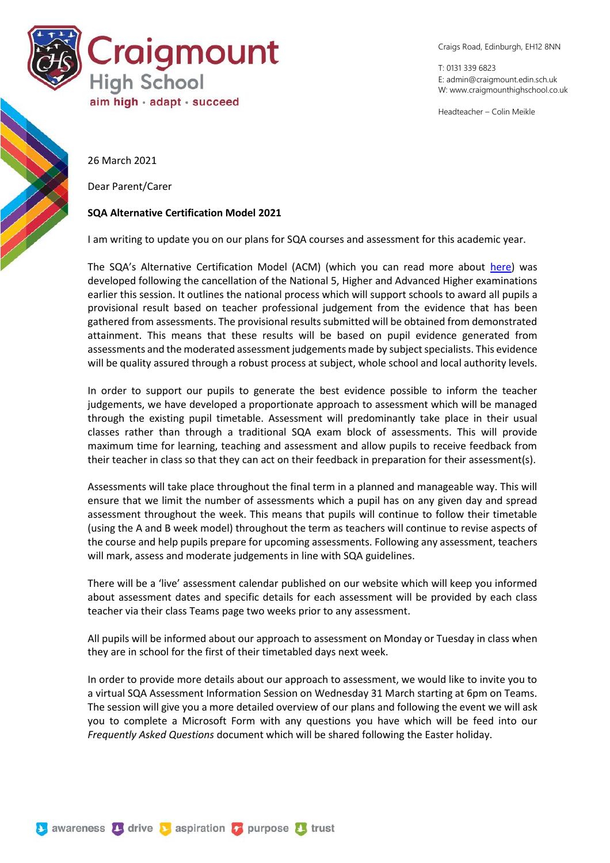

Craigs Road, Edinburgh, EH12 8NN

T: 0131 339 6823 E: [admin@craigmount.edin.sch.uk](mailto:admin@craigmount.edin.sch.uk) W[: www.craigmounthighschool.co.uk](http://www.craigmounthighschool.co.uk/)

Headteacher – Colin Meikle

26 March 2021

Dear Parent/Carer

## **SQA Alternative Certification Model 2021**

I am writing to update you on our plans for SQA courses and assessment for this academic year.

The SQA's Alternative Certification Model (ACM) (which you can read more about [here\)](https://www.sqa.org.uk/sqa/96760.html) was developed following the cancellation of the National 5, Higher and Advanced Higher examinations earlier this session. It outlines the national process which will support schools to award all pupils a provisional result based on teacher professional judgement from the evidence that has been gathered from assessments. The provisional results submitted will be obtained from demonstrated attainment. This means that these results will be based on pupil evidence generated from assessments and the moderated assessment judgements made by subject specialists. This evidence will be quality assured through a robust process at subject, whole school and local authority levels.

In order to support our pupils to generate the best evidence possible to inform the teacher judgements, we have developed a proportionate approach to assessment which will be managed through the existing pupil timetable. Assessment will predominantly take place in their usual classes rather than through a traditional SQA exam block of assessments. This will provide maximum time for learning, teaching and assessment and allow pupils to receive feedback from their teacher in class so that they can act on their feedback in preparation for their assessment(s).

Assessments will take place throughout the final term in a planned and manageable way. This will ensure that we limit the number of assessments which a pupil has on any given day and spread assessment throughout the week. This means that pupils will continue to follow their timetable (using the A and B week model) throughout the term as teachers will continue to revise aspects of the course and help pupils prepare for upcoming assessments. Following any assessment, teachers will mark, assess and moderate judgements in line with SQA guidelines.

There will be a 'live' assessment calendar published on our website which will keep you informed about assessment dates and specific details for each assessment will be provided by each class teacher via their class Teams page two weeks prior to any assessment.

All pupils will be informed about our approach to assessment on Monday or Tuesday in class when they are in school for the first of their timetabled days next week.

In order to provide more details about our approach to assessment, we would like to invite you to a virtual SQA Assessment Information Session on Wednesday 31 March starting at 6pm on Teams. The session will give you a more detailed overview of our plans and following the event we will ask you to complete a Microsoft Form with any questions you have which will be feed into our *Frequently Asked Questions* document which will be shared following the Easter holiday.